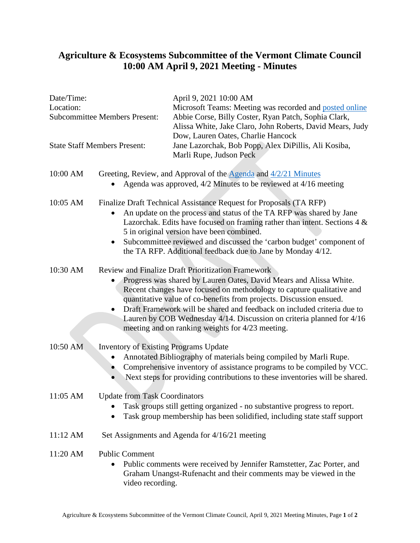## **Agriculture & Ecosystems Subcommittee of the Vermont Climate Council 10:00 AM April 9, 2021 Meeting - Minutes**

. . . . . .

.......

| Date/Time:<br>Location:<br><b>Subcommittee Members Present:</b> |                                                                                                                                                                                                                                                                                                                                                                                                                                                                                         | April 9, 2021 10:00 AM<br>Microsoft Teams: Meeting was recorded and posted online<br>Abbie Corse, Billy Coster, Ryan Patch, Sophia Clark,<br>Alissa White, Jake Claro, John Roberts, David Mears, Judy<br>Dow, Lauren Oates, Charlie Hancock |
|-----------------------------------------------------------------|-----------------------------------------------------------------------------------------------------------------------------------------------------------------------------------------------------------------------------------------------------------------------------------------------------------------------------------------------------------------------------------------------------------------------------------------------------------------------------------------|----------------------------------------------------------------------------------------------------------------------------------------------------------------------------------------------------------------------------------------------|
| <b>State Staff Members Present:</b>                             |                                                                                                                                                                                                                                                                                                                                                                                                                                                                                         | Jane Lazorchak, Bob Popp, Alex DiPillis, Ali Kosiba,<br>Marli Rupe, Judson Peck                                                                                                                                                              |
| 10:00 AM                                                        | Greeting, Review, and Approval of the Agenda and 4/2/21 Minutes<br>Agenda was approved, 4/2 Minutes to be reviewed at 4/16 meeting                                                                                                                                                                                                                                                                                                                                                      |                                                                                                                                                                                                                                              |
| 10:05 AM                                                        | Finalize Draft Technical Assistance Request for Proposals (TA RFP)<br>An update on the process and status of the TA RFP was shared by Jane<br>Lazorchak. Edits have focused on framing rather than intent. Sections $4 \&$<br>5 in original version have been combined.<br>Subcommittee reviewed and discussed the 'carbon budget' component of<br>the TA RFP. Additional feedback due to Jane by Monday 4/12.                                                                          |                                                                                                                                                                                                                                              |
| 10:30 AM                                                        | <b>Review and Finalize Draft Prioritization Framework</b><br>Progress was shared by Lauren Oates, David Mears and Alissa White.<br>Recent changes have focused on methodology to capture qualitative and<br>quantitative value of co-benefits from projects. Discussion ensued.<br>Draft Framework will be shared and feedback on included criteria due to<br>Lauren by COB Wednesday 4/14. Discussion on criteria planned for 4/16<br>meeting and on ranking weights for 4/23 meeting. |                                                                                                                                                                                                                                              |
| 10:50 AM                                                        | <b>Inventory of Existing Programs Update</b><br>Annotated Bibliography of materials being compiled by Marli Rupe.<br>Comprehensive inventory of assistance programs to be compiled by VCC.<br>Next steps for providing contributions to these inventories will be shared.                                                                                                                                                                                                               |                                                                                                                                                                                                                                              |
|                                                                 | 11:05 AM Update from Task Coordinators<br>Task groups still getting organized - no substantive progress to report.<br>Task group membership has been solidified, including state staff support<br>٠                                                                                                                                                                                                                                                                                     |                                                                                                                                                                                                                                              |
| 11:12 AM                                                        | Set Assignments and Agenda for 4/16/21 meeting                                                                                                                                                                                                                                                                                                                                                                                                                                          |                                                                                                                                                                                                                                              |
| 11:20 AM                                                        | <b>Public Comment</b><br>Public comments were received by Jennifer Ramstetter, Zac Porter, and<br>٠<br>Graham Unangst-Rufenacht and their comments may be viewed in the<br>video recording.                                                                                                                                                                                                                                                                                             |                                                                                                                                                                                                                                              |